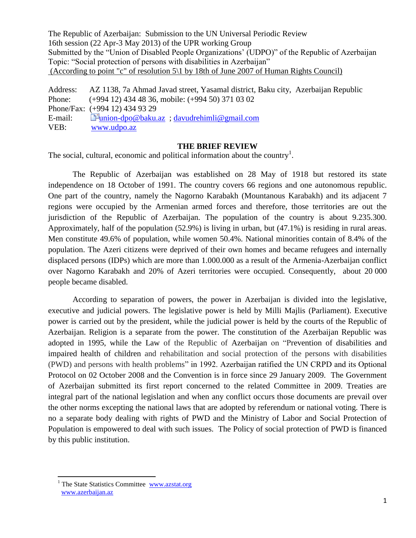The Republic of Azerbaijan: Submission to the UN Universal Periodic Review 16th session (22 Apr-3 May 2013) of the UPR working Group Submitted by the "Union of Disabled People Organizations' (UDPO)" of the Republic of Azerbaijan Topic: "Social protection of persons with disabilities in Azerbaijan" (According to point "c" of resolution 5\1 by 18th of June 2007 of Human Rights Council)

Address: AZ 1138, 7a Ahmad Javad street, Yasamal district, Baku city, Azerbaijan Republic Phone: (+994 12) 434 48 36, mobile: (+994 50) 371 03 02 Phone/Fax: (+994 12) 434 93 29 E-mail: F[union-dpo@baku.az](http://www.mail.az/src/compose.php?send_to=union-dpo%40baku.az) ; [davudrehimli@gmail.com](mailto:davudrehimli@gmail.com) VEB: [www.udpo.az](http://www.udpo.az/)

## **THE BRIEF REVIEW**

The social, cultural, economic and political information about the country<sup>1</sup>.

The Republic of Azerbaijan was established on 28 May of 1918 but restored its state independence on 18 October of 1991. The country covers 66 regions and one autonomous republic. One part of the country, namely the Nagorno Karabakh (Mountanous Karabakh) and its adjacent 7 regions were occupied by the Armenian armed forces and therefore, those territories are out the jurisdiction of the Republic of Azerbaijan. The population of the country is about 9.235.300. Approximately, half of the population (52.9%) is living in urban, but (47.1%) is residing in rural areas. Men constitute 49.6% of population, while women 50.4%. National minorities contain of 8.4% of the population. The Azeri citizens were deprived of their own homes and became refugees and internally displaced persons (IDPs) which are more than 1.000.000 as a result of the Armenia-Azerbaijan conflict over Nagorno Karabakh and 20% of Azeri territories were occupied. Consequently, about 20 000 people became disabled.

According to separation of powers, the power in Azerbaijan is divided into the legislative, executive and judicial powers. The legislative power is held by Milli Majlis (Parliament). Executive power is carried out by the president, while the judicial power is held by the courts of the Republic of Azerbaijan. Religion is a separate from the power. The constitution of the Azerbaijan Republic was adopted in 1995, while the Law of the Republic of Azerbaijan on "Prevention of disabilities and impaired health of children and rehabilitation and social protection of the persons with disabilities (PWD) and persons with health problems" in 1992. Azerbaijan ratified the UN CRPD and its Optional Protocol on 02 October 2008 and the Convention is in force since 29 January 2009. The Government of Azerbaijan submitted its first report concerned to the related Committee in 2009. Treaties are integral part of the national legislation and when any conflict occurs those documents are prevail over the other norms excepting the national laws that are adopted by referendum or national voting. There is no a separate body dealing with rights of PWD and the Ministry of Labor and Social Protection of Population is empowered to deal with such issues. The Policy of social protection of PWD is financed by this public institution.

<sup>&</sup>lt;sup>1</sup> The State Statistics Committee www.azstat.org [www.azerbaijan.az](http://www.azerbaijan.az/)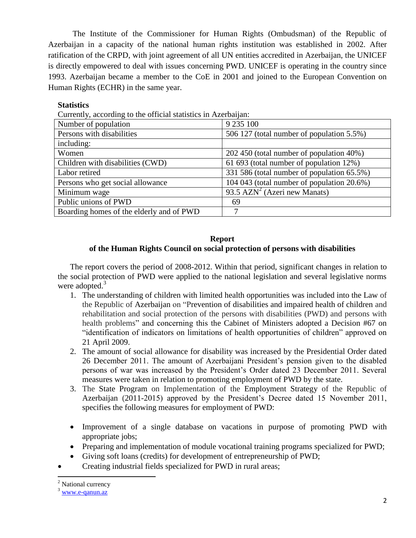The Institute of the Commissioner for Human Rights (Ombudsman) of the Republic of Azerbaijan in a capacity of the national human rights institution was established in 2002. After ratification of the CRPD, with joint agreement of all UN entities accredited in Azerbaijan, the UNICEF is directly empowered to deal with issues concerning PWD. UNICEF is operating in the country since 1993. Azerbaijan became a member to the CoE in 2001 and joined to the European Convention on Human Rights (ECHR) in the same year.

# **Statistics**

| Number of population                     | 9 2 3 5 1 0 0                              |
|------------------------------------------|--------------------------------------------|
| Persons with disabilities                | 506 127 (total number of population 5.5%)  |
| including:                               |                                            |
| Women                                    | 202 450 (total number of population 40%)   |
| Children with disabilities (CWD)         | 61 693 (total number of population 12%)    |
| Labor retired                            | 331 586 (total number of population 65.5%) |
| Persons who get social allowance         | 104 043 (total number of population 20.6%) |
| Minimum wage                             | 93.5 $AZN^2$ (Azeri new Manats)            |
| Public unions of PWD                     | 69                                         |
| Boarding homes of the elderly and of PWD |                                            |

## **Report of the Human Rights Council on social protection of persons with disabilities**

 The report covers the period of 2008-2012. Within that period, significant changes in relation to the social protection of PWD were applied to the national legislation and several legislative norms were adopted. $3$ 

- 1. The understanding of children with limited health opportunities was included into the Law of the Republic of Azerbaijan on "Prevention of disabilities and impaired health of children and rehabilitation and social protection of the persons with disabilities (PWD) and persons with health problems" and concerning this the Cabinet of Ministers adopted a Decision #67 on "identification of indicators on limitations of health opportunities of children" approved on 21 April 2009.
- 2. The amount of social allowance for disability was increased by the Presidential Order dated 26 December 2011. The amount of Azerbaijani President's pension given to the disabled persons of war was increased by the President's Order dated 23 December 2011. Several measures were taken in relation to promoting employment of PWD by the state.
- 3. The State Program on Implementation of the Employment Strategy of the Republic of Azerbaijan (2011-2015) approved by the President's Decree dated 15 November 2011, specifies the following measures for employment of PWD:
- Improvement of a single database on vacations in purpose of promoting PWD with appropriate jobs;
- Preparing and implementation of module vocational training programs specialized for PWD;
- Giving soft loans (credits) for development of entrepreneurship of PWD;
- Creating industrial fields specialized for PWD in rural areas;

<sup>&</sup>lt;sup>2</sup> National currency

[www.e-qanun.az](http://www.e-qanun.az/)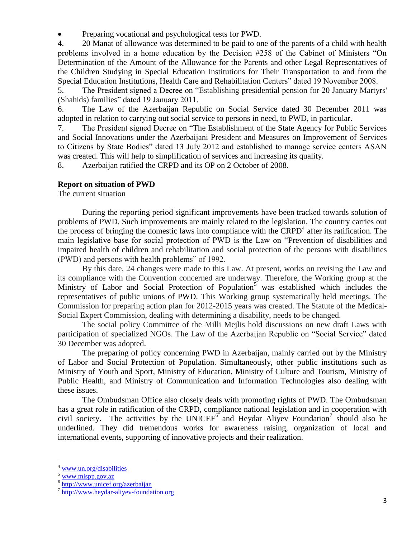Preparing vocational and psychological tests for PWD.

4. 20 Manat of allowance was determined to be paid to one of the parents of a child with health problems involved in a home education by the Decision #258 of the Cabinet of Ministers "On Determination of the Amount of the Allowance for the Parents and other Legal Representatives of the Children Studying in Special Education Institutions for Their Transportation to and from the Special Education Institutions, Health Care and Rehabilitation Centers" dated 19 November 2008.

5. The President signed a Decree on "Establishing presidential pension for 20 January Martyrs' (Shahids) families" dated 19 January 2011.

6. The Law of the Azerbaijan Republic on Social Service dated 30 December 2011 was adopted in relation to carrying out social service to persons in need, to PWD, in particular.

7. The President signed Decree on "The Establishment of the State Agency for Public Services and Social Innovations under the Azerbaijani President and Measures on Improvement of Services to Citizens by State Bodies" dated 13 July 2012 and established to manage service centers ASAN was created. This will help to simplification of services and increasing its quality.

8. Azerbaijan ratified the CRPD and its OP on 2 October of 2008.

#### **Report on situation of PWD**

The current situation

During the reporting period significant improvements have been tracked towards solution of problems of PWD. Such improvements are mainly related to the legislation. The country carries out the process of bringing the domestic laws into compliance with the  $CRPD<sup>4</sup>$  after its ratification. The main legislative base for social protection of PWD is the Law on "Prevention of disabilities and impaired health of children and rehabilitation and social protection of the persons with disabilities (PWD) and persons with health problems" of 1992.

By this date, 24 changes were made to this Law. At present, works on revising the Law and its compliance with the Convention concerned are underway. Therefore, the Working group at the Ministry of Labor and Social Protection of Population<sup>5</sup> was established which includes the representatives of public unions of PWD. This Working group systematically held meetings. The Commission for preparing action plan for 2012-2015 years was created. The Statute of the Medical-Social Expert Commission, dealing with determining a disability, needs to be changed.

The social policy Committee of the Milli Mejlis hold discussions on new draft Laws with participation of specialized NGOs. The Law of the Azerbaijan Republic on "Social Service" dated 30 December was adopted.

The preparing of policy concerning PWD in Azerbaijan, mainly carried out by the Ministry of Labor and Social Protection of Population. Simultaneously, other public institutions such as Ministry of Youth and Sport, Ministry of Education, Ministry of Culture and Tourism, Ministry of Public Health, and Ministry of Communication and Information Technologies also dealing with these issues.

The Ombudsman Office also closely deals with promoting rights of PWD. The Ombudsman has a great role in ratification of the CRPD, compliance national legislation and in cooperation with civil society. The activities by the UNICEF $6$  and Heydar Aliyev Foundation<sup>7</sup> should also be underlined. They did tremendous works for awareness raising, organization of local and international events, supporting of innovative projects and their realization.

[www.un.org/disabilities](http://www.un.org/disabilities)

<sup>5</sup> [www.mlspp.gov.az](http://www.mlspp.gov.az/)

<sup>&</sup>lt;sup>6</sup> <http://www.unicef.org/azerbaijan>

<sup>&</sup>lt;sup>7</sup> [http://www.heydar-aliyev-foundation.org](http://www.heydar-aliyev-foundation.org/)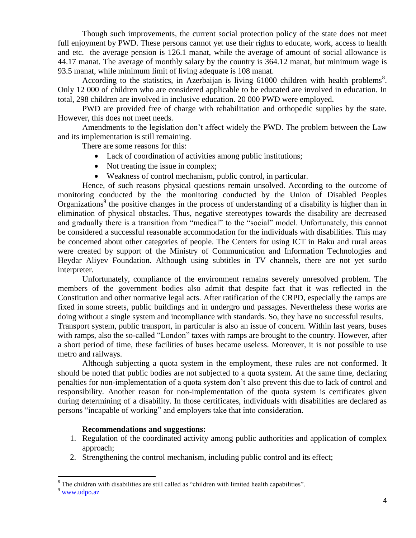Though such improvements, the current social protection policy of the state does not meet full enjoyment by PWD. These persons cannot yet use their rights to educate, work, access to health and etc. the average pension is 126.1 manat, while the average of amount of social allowance is 44.17 manat. The average of monthly salary by the country is 364.12 manat, but minimum wage is 93.5 manat, while minimum limit of living adequate is 108 manat.

According to the statistics, in Azerbaijan is living  $61000$  children with health problems<sup>8</sup>. Only 12 000 of children who are considered applicable to be educated are involved in education. In total, 298 children are involved in inclusive education. 20 000 PWD were employed.

PWD are provided free of charge with rehabilitation and orthopedic supplies by the state. However, this does not meet needs.

Amendments to the legislation don't affect widely the PWD. The problem between the Law and its implementation is still remaining.

There are some reasons for this:

- Lack of coordination of activities among public institutions;
- Not treating the issue in complex;
- Weakness of control mechanism, public control, in particular.

Hence, of such reasons physical questions remain unsolved. According to the outcome of monitoring conducted by the the monitoring conducted by the Union of Disabled Peoples Organizations<sup>9</sup> the positive changes in the process of understanding of a disability is higher than in elimination of physical obstacles. Thus, negative stereotypes towards the disability are decreased and gradually there is a transition from "medical" to the "social" model. Unfortunately, this cannot be considered a successful reasonable accommodation for the individuals with disabilities. This may be concerned about other categories of people. The Centers for using ICT in Baku and rural areas were created by support of the Ministry of Communication and Information Technologies and Heydar Aliyev Foundation. Although using subtitles in TV channels, there are not yet surdo interpreter.

Unfortunately, compliance of the environment remains severely unresolved problem. The members of the government bodies also admit that despite fact that it was reflected in the Constitution and other normative legal acts. After ratification of the CRPD, especially the ramps are fixed in some streets, public buildings and in undergro und passages. Nevertheless these works are doing without a single system and incompliance with standards. So, they have no successful results. Transport system, public transport, in particular is also an issue of concern. Within last years, buses with ramps, also the so-called "London" taxes with ramps are brought to the country. However, after a short period of time, these facilities of buses became useless. Moreover, it is not possible to use

metro and railways.

Although subjecting a quota system in the employment, these rules are not conformed. It should be noted that public bodies are not subjected to a quota system. At the same time, declaring penalties for non-implementation of a quota system don't also prevent this due to lack of control and responsibility. Another reason for non-implementation of the quota system is certificates given during determining of a disability. In those certificates, individuals with disabilities are declared as persons "incapable of working" and employers take that into consideration.

#### **Recommendations and suggestions:**

- 1. Regulation of the coordinated activity among public authorities and application of complex approach;
- 2. Strengthening the control mechanism, including public control and its effect;

<sup>9</sup> www<u>.udpo.az</u>

 $8$  The children with disabilities are still called as "children with limited health capabilities".